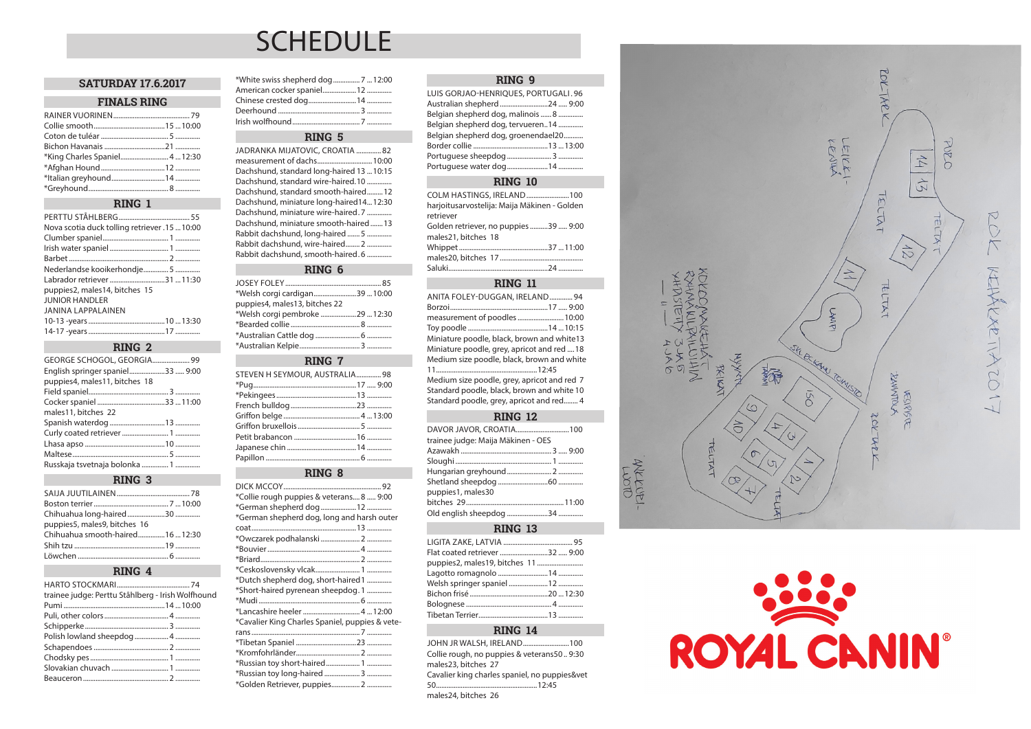# **SCHEDULE**

#### **SATURDAY 17.6.2017**

#### **FINALS RING**

| *King Charles Spaniel 4  12:30 |  |
|--------------------------------|--|
|                                |  |
|                                |  |
|                                |  |

## **RING 1**

| Nova scotia duck tolling retriever .15  10:00 |
|-----------------------------------------------|
|                                               |
|                                               |
|                                               |
| Nederlandse kooikerhondje 5                   |
| Labrador retriever 31  11:30                  |
| puppies2, males14, bitches 15                 |
| <b>JUNIOR HANDLER</b>                         |
| <b>JANINA LAPPALAINEN</b>                     |
|                                               |
|                                               |

## **RING 2**

| GEORGE SCHOGOL, GEORGIA 99       |  |
|----------------------------------|--|
| English springer spaniel33  9:00 |  |
| puppies4, males11, bitches 18    |  |
|                                  |  |
|                                  |  |
| males11, bitches 22              |  |
|                                  |  |
|                                  |  |
|                                  |  |
|                                  |  |
| Russkaja tsvetnaja bolonka  1    |  |

#### **RING 3**

| puppies5, males9, bitches 16     |  |
|----------------------------------|--|
| Chihuahua smooth-haired16  12:30 |  |
|                                  |  |
|                                  |  |

#### **RING 4**

| trainee judge: Perttu Ståhlberg - Irish Wolfhound |
|---------------------------------------------------|
|                                                   |
|                                                   |
|                                                   |
| Polish lowland sheepdog  4                        |
|                                                   |
|                                                   |
|                                                   |
|                                                   |
|                                                   |

# \*White swiss shepherd dog............... 7 ...12:00 American cocker spaniel.....................12 ...

# **RING 5**

JADRANKA MIJATOVIC, CROATIA .............. 82 measurement of dachs...... Dachshund, standard long-haired 13 ...10:15 Dachshund, standard wire-haired.10 .............. Dachshund, standard smooth-haired.........12 Dachshund, miniature long-haired14...12:30 Dachshund, miniature wire-haired. 7 ..... Dachshund, miniature smooth-haired.......13 Rabbit dachshund, long-haired ....... 5 .............. Rabbit dachshund, wire-haired........ 2 .............. Rabbit dachshund, smooth-haired. 6 ....

#### **RING 6**

JOSEY FOLEY...................................................... 85 \*Welsh corgi cardigan........................39 ...10:00 puppies4, males13, bitches 22 \*Welsh corgi pembroke ....................29 ...12:30 \*Bearded collie... \*Australian Cattle dog ......................... 6 .............. \*Australian Kelpie.................................. 3 ..............

## **RING 7**

| STEVEN H SEYMOUR, AUSTRALIA 98 |  |
|--------------------------------|--|
|                                |  |
|                                |  |
|                                |  |
|                                |  |
|                                |  |
|                                |  |
|                                |  |
|                                |  |

# **RING 8**

| *Collie rough puppies & veterans 8  9:00        |  |
|-------------------------------------------------|--|
| *German shepherd dog 12                         |  |
| *German shepherd dog, long and harsh outer      |  |
|                                                 |  |
|                                                 |  |
|                                                 |  |
|                                                 |  |
|                                                 |  |
| *Dutch shepherd dog, short-haired 1             |  |
| *Short-haired pyrenean sheepdog. 1              |  |
|                                                 |  |
| *Lancashire heeler  4  12:00                    |  |
| *Cavalier King Charles Spaniel, puppies & vete- |  |
|                                                 |  |
|                                                 |  |
|                                                 |  |
| *Russian toy short-haired 1                     |  |
|                                                 |  |
| *Golden Retriever, puppies 2                    |  |

#### **RING 9**

| LUIS GORJAO-HENRIQUES, PORTUGALI. 96 |  |
|--------------------------------------|--|
| Australian shepherd 24  9:00         |  |
| Belgian shepherd dog, malinois  8    |  |
| Belgian shepherd dog, tervueren14    |  |
| Belgian shepherd dog, groenendael20  |  |
|                                      |  |
|                                      |  |
|                                      |  |
|                                      |  |

#### **RING 10**

| COLM HASTINGS, IRELAND100                    |  |
|----------------------------------------------|--|
| harjoitusarvostelija: Maija Mäkinen - Golden |  |
| retriever                                    |  |
| Golden retriever, no puppies 39  9:00        |  |
| males21, bitches 18                          |  |
|                                              |  |
|                                              |  |
|                                              |  |

## **RING 11**

| ANITA FOLEY-DUGGAN, IRELAND 94              |  |
|---------------------------------------------|--|
|                                             |  |
| measurement of poodles 10:00                |  |
|                                             |  |
| Miniature poodle, black, brown and white13  |  |
| Miniature poodle, grey, apricot and red 18  |  |
| Medium size poodle, black, brown and white  |  |
|                                             |  |
| Medium size poodle, grey, apricot and red 7 |  |
| Standard poodle, black, brown and white 10  |  |
| Standard poodle, grey, apricot and red 4    |  |
|                                             |  |

## **RING 12**

| trainee judge: Maija Mäkinen - OES |  |
|------------------------------------|--|
|                                    |  |
|                                    |  |
|                                    |  |
|                                    |  |
| puppies1, males30                  |  |
|                                    |  |
|                                    |  |

## **RING 13**

| Flat coated retriever 32  9:00 |  |
|--------------------------------|--|
|                                |  |
|                                |  |
|                                |  |
|                                |  |
|                                |  |
|                                |  |
|                                |  |

## **RING 14**

JOHN JR WALSH, IRELAND..........................100 Collie rough, no puppies & veterans50 .. 9:30 males23, bitches 27 Cavalier king charles spaniel, no puppies&vet 50.........................................................12:45 males24, bitches 26